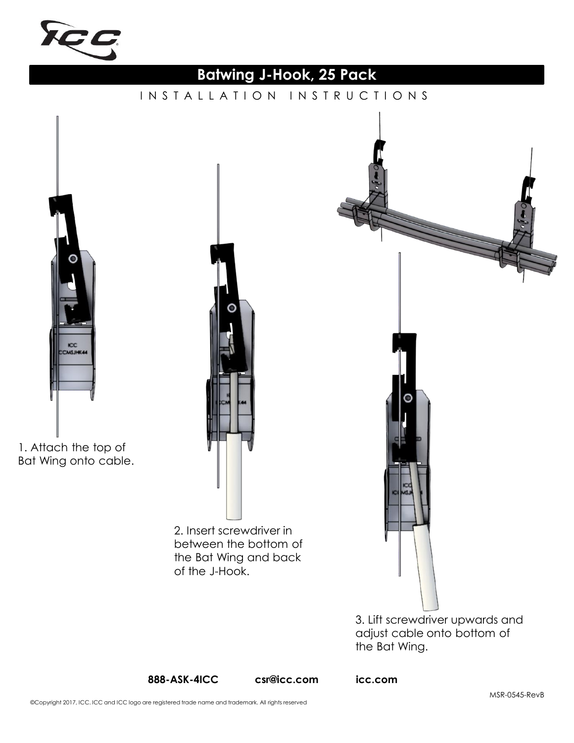

# **Batwing J-Hook, 25 Pack**

INSTALLATION INSTRUCTIONS

**ICC**<br>CHSJHK44

1. Attach the top of Bat Wing onto cable.

> 2. Insert screwdriver in between the bottom of the Bat Wing and back of the J-Hook.

3. Lift screwdriver upwards and adjust cable onto bottom of the Bat Wing.

**888-ASK-4ICC csr@icc.com icc.com**